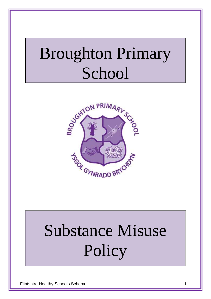## Broughton Primary School



# Substance Misuse Policy

Flintshire Healthy Schools Scheme 1 and 1 and 1 and 1 and 1 and 1 and 1 and 1 and 1 and 1 and 1 and 1 and 1 and 1 and 1 and 1 and 1 and 1 and 1 and 1 and 1 and 1 and 1 and 1 and 1 and 1 and 1 and 1 and 1 and 1 and 1 and 1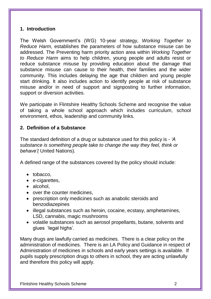#### **1. Introduction**

The Welsh Government's (WG) 10-year strategy, *Working Together to Reduce Harm*, establishes the parameters of how substance misuse can be addressed. The Preventing harm priority action area within *Working Together to Reduce Harm* aims to help children, young people and adults resist or reduce substance misuse by providing education about the damage that substance misuse can cause to their health, their families and the wider community. This includes delaying the age that children and young people start drinking. It also includes action to identify people at risk of substance misuse and/or in need of support and signposting to further information, support or diversion activities.

We participate in Flintshire Healthy Schools Scheme and recognise the value of taking a whole school approach which includes curriculum, school environment, ethos, leadership and community links.

#### **2. Definition of a Substance**

The standard definition of a drug or substance used for this policy is - *'A substance is something people take to change the way they feel, think or behave'(* United Nations).

A defined range of the substances covered by the policy should include:

- tobacco,
- e-cigarettes,
- alcohol.
- over the counter medicines.
- prescription only medicines such as anabolic steroids and benzodiazepines
- illegal substances such as heroin, cocaine, ecstasy, amphetamines, LSD, cannabis, magic mushrooms
- volatile substances such as aerosol propellants, butane, solvents and glues 'legal highs'.

Many drugs are lawfully carried as medicines. There is a clear policy on the administration of medicines. There is an LA Policy and Guidance in respect of Administration of medicines in schools and early years settings is available. If pupils supply prescription drugs to others in school, they are acting unlawfully and therefore this policy will apply.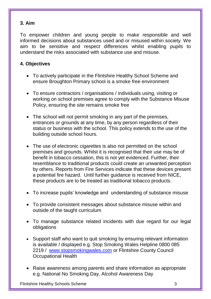#### **3. Aim**

To empower children and young people to make responsible and well informed decisions about substances used and or misused within society. We aim to be sensitive and respect differences whilst enabling pupils to understand the risks associated with substance use and misuse.

#### **4. Objectives**

- To actively participate in the Flintshire Healthy School Scheme and ensure Broughton Primary school is a smoke free environment
- To ensure contractors / organisations / individuals using, visiting or working on school premises agree to comply with the Substance Misuse Policy, ensuring the site remains smoke free
- The school will not permit smoking in any part of the premises, entrances or grounds at any time, by any person regardless of their status or business with the school. This policy extends to the use of the building outside school hours.
- The use of electronic cigarettes is also not permitted on the school premises and grounds. Whilst it is recognised that their use may be of benefit in tobacco cessation, this is not yet evidenced. Further, their resemblance to traditional products could create an unwanted perception by others. Reports from Fire Services indicate that these devices present a potential fire hazard. Until further guidance is received from NICE, these products are to be treated as traditional tobacco products.
- To increase pupils' knowledge and understanding of substance misuse
- To provide consistent messages about substance misuse within and outside of the taught curriculum
- To manage substance related incidents with due regard for our legal obligations
- Support staff who want to quit smoking by ensuring relevant information is available / displayed e.g. Stop Smoking Wales Helpline 0800 085 2219 / [www.stopsmokingwales.com](http://www.stopsmokingwales.com/) or Flintshire County Council Occupational Health
- Raise awareness among parents and share information as appropriate e.g. National No Smoking Day, Alcohol Awareness Day

Flintshire Healthy Schools Scheme 3 3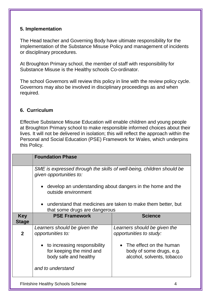#### **5. Implementation**

The Head teacher and Governing Body have ultimate responsibility for the implementation of the Substance Misuse Policy and management of incidents or disciplinary procedures.

At Broughton Primary school, the member of staff with responsibility for Substance Misuse is the Healthy schools Co-ordinator.

The school Governors will review this policy in line with the review policy cycle. Governors may also be involved in disciplinary proceedings as and when required.

#### **6. Curriculum**

Effective Substance Misuse Education will enable children and young people at Broughton Primary school to make responsible informed choices about their lives. It will not be delivered in isolation; this will reflect the approach within the Personal and Social Education (PSE) Framework for Wales, which underpins this Policy.

|              | <b>Foundation Phase</b>                                                                          |                                                                                     |  |
|--------------|--------------------------------------------------------------------------------------------------|-------------------------------------------------------------------------------------|--|
|              | SME is expressed through the skills of well-being, children should be<br>given opportunities to: |                                                                                     |  |
|              | develop an understanding about dangers in the home and the<br>outside environment                |                                                                                     |  |
|              | understand that medicines are taken to make them better, but<br>$\bullet$                        |                                                                                     |  |
|              | that some drugs are dangerous                                                                    |                                                                                     |  |
| <b>Key</b>   | <b>PSE Framework</b>                                                                             | <b>Science</b>                                                                      |  |
| <b>Stage</b> |                                                                                                  |                                                                                     |  |
| $\mathbf{2}$ | Learners should be given the<br>opportunities to:                                                | Learners should be given the<br>opportunities to study:                             |  |
|              | to increasing responsibility<br>$\bullet$<br>for keeping the mind and<br>body safe and healthy   | • The effect on the human<br>body of some drugs, e.g.<br>alcohol, solvents, tobacco |  |
|              | and to understand                                                                                |                                                                                     |  |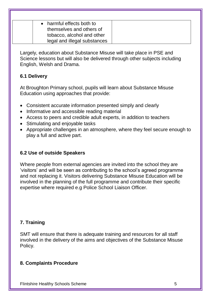harmful effects both to themselves and others of tobacco, alcohol and other legal and illegal substances

Largely, education about Substance Misuse will take place in PSE and Science lessons but will also be delivered through other subjects including English, Welsh and Drama.

#### **6.1 Delivery**

At Broughton Primary school, pupils will learn about Substance Misuse Education using approaches that provide:

- Consistent accurate information presented simply and clearly
- Informative and accessible reading material
- Access to peers and credible adult experts, in addition to teachers
- Stimulating and enjoyable tasks
- Appropriate challenges in an atmosphere, where they feel secure enough to play a full and active part.

#### **6.2 Use of outside Speakers**

Where people from external agencies are invited into the school they are 'visitors' and will be seen as contributing to the school's agreed programme and not replacing it. Visitors delivering Substance Misuse Education will be involved in the planning of the full programme and contribute their specific expertise where required e.g Police School Liaison Officer.

#### **7. Training**

SMT will ensure that there is adequate training and resources for all staff involved in the delivery of the aims and objectives of the Substance Misuse Policy.

#### **8. Complaints Procedure**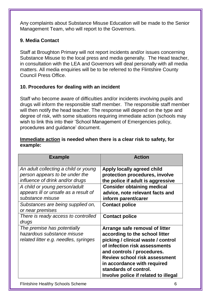Any complaints about Substance Misuse Education will be made to the Senior Management Team, who will report to the Governors.

#### **9. Media Contact**

Staff at Broughton Primary will not report incidents and/or issues concerning Substance Misuse to the local press and media generally. The Head teacher, in consultation with the LEA and Governors will deal personally with all media matters. All media enquiries will be to be referred to the Flintshire County Council Press Office.

#### **10. Procedures for dealing with an incident**

Staff who become aware of difficulties and/or incidents involving pupils and drugs will inform the responsible staff member. The responsible staff member will then notify the head teacher. The response will depend on the type and degree of risk, with some situations requiring immediate action (schools may wish to link this into their 'School Management of Emergencies policy, procedures and guidance' document.

#### **Immediate action is needed when there is a clear risk to safety, for example:**

| <b>Example</b>                        | <b>Action</b>                        |
|---------------------------------------|--------------------------------------|
| An adult collecting a child or young  | Apply locally agreed child           |
| person appears to be under the        | protection procedures, involve       |
| influence of drink and/or drugs       | the police if adult is aggressive    |
| A child or young person/adult         | <b>Consider obtaining medical</b>    |
| appears ill or unsafe as a result of  | advice, note relevant facts and      |
| substance misuse                      | inform parent/carer                  |
| Substances are being supplied on,     | <b>Contact police</b>                |
| or near premises                      |                                      |
| There is ready access to controlled   | <b>Contact police</b>                |
| drugs                                 |                                      |
| The premise has potentially           | Arrange safe removal of litter       |
| hazardous substance misuse            | according to the school litter       |
| related litter e.g. needles, syringes | picking / clinical waste / control   |
|                                       | of infection risk assessments        |
|                                       | and controls / procedures.           |
|                                       | <b>Review school risk assessment</b> |
|                                       | in accordance with required          |
|                                       | standards of control.                |
|                                       | Involve police if related to illegal |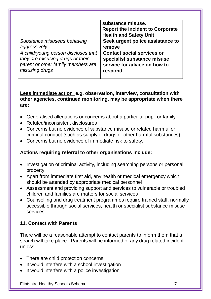|                                                                                                               | substance misuse.<br><b>Report the incident to Corporate</b><br><b>Health and Safety Unit</b>    |
|---------------------------------------------------------------------------------------------------------------|--------------------------------------------------------------------------------------------------|
| Substance misuser/s behaving                                                                                  | Seek urgent police assistance to                                                                 |
| aggressively                                                                                                  | remove                                                                                           |
| A child/young person discloses that<br>they are misusing drugs or their<br>parent or other family members are | <b>Contact social services or</b><br>specialist substance misuse<br>service for advice on how to |
| misusing drugs                                                                                                | respond.                                                                                         |

#### **Less immediate action e.g. observation, interview, consultation with other agencies, continued monitoring, may be appropriate when there are:**

- Generalised allegations or concerns about a particular pupil or family
- Refuted/inconsistent disclosures
- Concerns but no evidence of substance misuse or related harmful or criminal conduct (such as supply of drugs or other harmful substances)
- Concerns but no evidence of immediate risk to safety.

#### **Actions requiring referral to other organisations include:**

- Investigation of criminal activity, including searching persons or personal property
- Apart from immediate first aid, any health or medical emergency which should be attended by appropriate medical personnel
- Assessment and providing support and services to vulnerable or troubled children and families are matters for social services
- Counselling and drug treatment programmes require trained staff, normally accessible through social services, health or specialist substance misuse services.

#### **11. Contact with Parents**

There will be a reasonable attempt to contact parents to inform them that a search will take place. Parents will be informed of any drug related incident unless:

- There are child protection concerns
- It would interfere with a school investigation
- It would interfere with a police investigation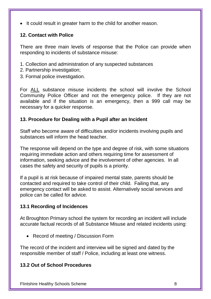• It could result in greater harm to the child for another reason.

#### **12. Contact with Police**

There are three main levels of response that the Police can provide when responding to incidents of substance misuse:

- 1. Collection and administration of any suspected substances
- 2. Partnership investigation;
- 3. Formal police investigation.

For ALL substance misuse incidents the school will involve the School Community Police Officer and not the emergency police. If they are not available and if the situation is an emergency, then a 999 call may be necessary for a quicker response.

#### **13. Procedure for Dealing with a Pupil after an Incident**

Staff who become aware of difficulties and/or incidents involving pupils and substances will inform the head teacher.

The response will depend on the type and degree of risk, with some situations requiring immediate action and others requiring time for assessment of information, seeking advice and the involvement of other agencies. In all cases the safety and security of pupils is a priority.

If a pupil is at risk because of impaired mental state, parents should be contacted and required to take control of their child. Failing that, any emergency contact will be asked to assist. Alternatively social services and police can be called for advice.

#### **13.1 Recording of Incidences**

At Broughton Primary school the system for recording an incident will include accurate factual records of all Substance Misuse and related incidents using:

• Record of meeting / Discussion Form

The record of the incident and interview will be signed and dated by the responsible member of staff / Police, including at least one witness.

#### **13.2 Out of School Procedures**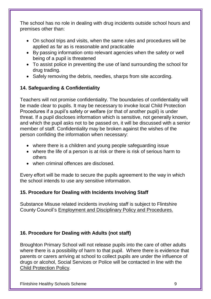The school has no role in dealing with drug incidents outside school hours and premises other than:

- On school trips and visits, when the same rules and procedures will be applied as far as is reasonable and practicable
- By passing information onto relevant agencies when the safety or well being of a pupil is threatened
- To assist police in preventing the use of land surrounding the school for drug trading.
- Safely removing the debris, needles, sharps from site according.

#### **14. Safeguarding & Confidentiality**

Teachers will not promise confidentiality. The boundaries of confidentiality will be made clear to pupils. It may be necessary to invoke local Child Protection Procedures if a pupil's safety or welfare (or that of another pupil) is under threat. If a pupil discloses information which is sensitive, not generally known, and which the pupil asks not to be passed on, it will be discussed with a senior member of staff. Confidentiality may be broken against the wishes of the person confiding the information when necessary:

- where there is a children and young people safeguarding issue
- where the life of a person is at risk or there is risk of serious harm to others
- when criminal offences are disclosed.

Every effort will be made to secure the pupils agreement to the way in which the school intends to use any sensitive information.

#### **15. Procedure for Dealing with Incidents Involving Staff**

Substance Misuse related incidents involving staff is subject to Flintshire County Council's Employment and Disciplinary Policy and Procedures.

#### **16. Procedure for Dealing with Adults (not staff)**

Broughton Primary School will not release pupils into the care of other adults where there is a possibility of harm to that pupil. Where there is evidence that parents or carers arriving at school to collect pupils are under the influence of drugs or alcohol, Social Services or Police will be contacted in line with the Child Protection Policy.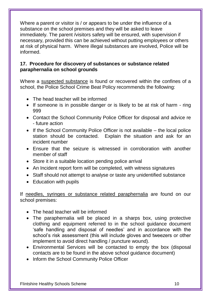Where a parent or visitor is / or appears to be under the influence of a substance on the school premises and they will be asked to leave immediately. The parent /visitors safety will be ensured, with supervision if necessary, provided this can be achieved without putting employees or others at risk of physical harm. Where illegal substances are involved, Police will be informed.

#### **17. Procedure for discovery of substances or substance related paraphernalia on school grounds**

Where a suspected substance is found or recovered within the confines of a school, the Police School Crime Beat Policy recommends the following:

- The head teacher will be informed
- If someone is in possible danger or is likely to be at risk of harm ring 999
- Contact the School Community Police Officer for disposal and advice re - future action
- $\bullet$  If the School Community Police Officer is not available the local police station should be contacted. Explain the situation and ask for an incident number
- Ensure that the seizure is witnessed in corroboration with another member of staff
- Store it in a suitable location pending police arrival
- An Incident report form will be completed, with witness signatures
- Staff should not attempt to analyse or taste any unidentified substance
- Education with pupils

If needles, syringes or substance related paraphernalia are found on our school premises:

- The head teacher will be informed
- The paraphernalia will be placed in a sharps box, using protective clothing and equipment referred to in the school guidance document 'safe handling and disposal of needles' and in accordance with the school's risk assessment (this will include gloves and tweezers or other implement to avoid direct handling / puncture wound).
- Environmental Services will be contacted to empty the box (disposal contacts are to be found in the above school guidance document)
- Inform the School Community Police Officer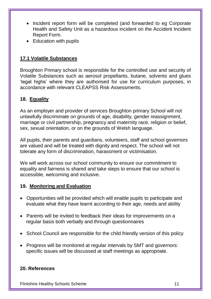- Incident report form will be completed (and forwarded to eg Corporate Health and Safety Unit as a hazardous incident on the Accident Incident Report Form.
- Education with pupils

#### **17.1 Volatile Substances**

Broughton Primary school is responsible for the controlled use and security of Volatile Substances such as aerosol propellants, butane, solvents and glues 'legal highs' where they are authorised for use for curriculum purposes, in accordance with relevant CLEAPSS Risk Assessments.

#### **18. Equality**

As an employer and provider of services Broughton primary School will not unlawfully discriminate on grounds of age, disability, gender reassignment, marriage or civil partnership, pregnancy and maternity race, religion or belief, sex, sexual orientation, or on the grounds of Welsh language.

All pupils, their parents and guardians, volunteers, staff and school governors are valued and will be treated with dignity and respect. The school will not tolerate any form of discrimination, harassment or victimisation.

We will work across our school community to ensure our commitment to equality and fairness is shared and take steps to ensure that our school is accessible, welcoming and inclusive.

#### **19. Monitoring and Evaluation**

- Opportunities will be provided which will enable pupils to participate and evaluate what they have learnt according to their age, needs and ability
- Parents will be invited to feedback their ideas for improvements on a regular basis both verbally and through questionnaires
- School Council are responsible for the child friendly version of this policy
- Progress will be monitored at regular intervals by SMT and governors: specific issues will be discussed at staff meetings as appropriate.

#### **20. References**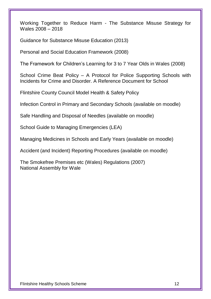Working Together to Reduce Harm - The Substance Misuse Strategy for Wales 2008 – 2018

Guidance for Substance Misuse Education (2013)

Personal and Social Education Framework (2008)

The Framework for Children's Learning for 3 to 7 Year Olds in Wales (2008)

School Crime Beat Policy – A Protocol for Police Supporting Schools with Incidents for Crime and Disorder. A Reference Document for School

Flintshire County Council Model Health & Safety Policy

Infection Control in Primary and Secondary Schools (available on moodle)

Safe Handling and Disposal of Needles (available on moodle)

School Guide to Managing Emergencies (LEA)

Managing Medicines in Schools and Early Years (available on moodle)

Accident (and Incident) Reporting Procedures (available on moodle)

The Smokefree Premises etc (Wales) Regulations (2007) National Assembly for Wale